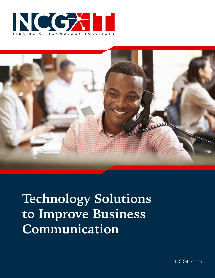



# **Technology Solutions to Improve Business Communication**

NCGIT.com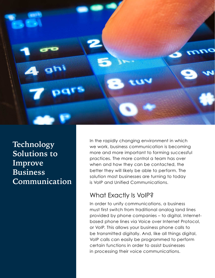

**Technology Solutions to Improve Business Communication** In the rapidly changing environment in which we work, business communication is becoming more and more important to forming successful practices. The more control a team has over when and how they can be contacted, the better they will likely be able to perform. The solution most businesses are turning to today is VoIP and Unified Communications.

#### What Exactly Is VoIP?

In order to unify communications, a business must first switch from traditional analog land lines provided by phone companies – to digital, Internetbased phone lines via Voice over Internet Protocol, or VoIP. This allows your business phone calls to be transmitted digitally. And, like all things digital, VoIP calls can easily be programmed to perform certain functions in order to assist businesses in processing their voice communications.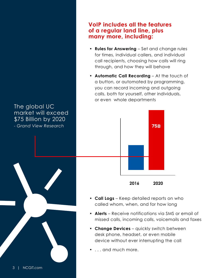# call recipients, choosing how calls will ring through, and how they will behave **• Automatic Call Recording** – At the touch of a button, or automated by programming, you can record incoming and outgoing calls, both for yourself, other individuals, or even whole departments **• Call Logs** – Keep detailed reports on who called whom, when, and for how long **• Alerts** – Receive notifications via SMS or email of missed calls, incoming calls, voicemails and faxes **• Change Devices** – quickly switch between desk phone, headset, or even mobile device without ever interrupting the call The global UC market will exceed \$75 Billion by 2020 *- Grand View Research*  **2016 2020 75B**

• . . . and much more.

**VoIP includes all the features** 

**• Rules for Answering** – Set and change rules for times, individual callers, and individual

**of a regular land line, plus** 

**many more, including:**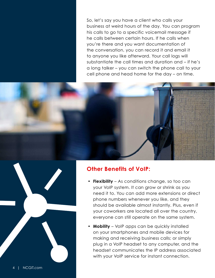So, let's say you have a client who calls your business at weird hours of the day. You can program his calls to go to a specific voicemail message if he calls between certain hours. If he calls when you're there and you want documentation of the conversation, you can record it and email it to anyone you like afterward. Your call logs will substantiate the call times and duration and – if he's a long talker – you can switch the phone call to your cell phone and head home for the day – on time.



# **Other Benefits of VoIP:**

- **Flexibility** As conditions change, so too can your VoIP system. It can grow or shrink as you need it to. You can add more extensions or direct phone numbers whenever you like, and they should be available almost instantly. Plus, even if your coworkers are located all over the country, everyone can still operate on the same system.
- **Mobility** VoIP apps can be quickly installed on your smartphones and mobile devices for making and receiving business calls; or simply plug in a VoIP headset to any computer, and the headset communicates the IP address associated with your VoIP service for instant connection.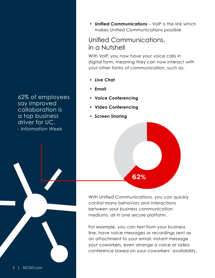62% of employees say improved collaboration is a top business driver for UC. *- Information Week*

**• Unified Communications** – VoIP is the link which makes Unified Communications possible

### Unified Communications, in a Nutshell

With VoIP, you now have your voice calls in digital form, meaning they can now interact with your other forms of communication, such as:

- **Live Chat**
- **Email**
- **Voice Conferencing**
- **Video Conferencing**
- **Screen Sharing**



With Unified Communications, you can quickly control many behaviors and interactions between your business communication mediums, all in one secure platform.

For example, you can text from your business line, have voice messages or recordings sent as an attachment to your email, instant message your coworkers, even arrange a voice or video conference based on your coworkers' availability.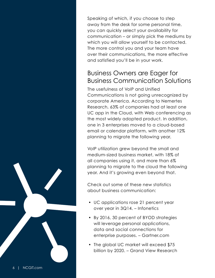Speaking of which, if you choose to step away from the desk for some personal time, you can quickly select your availability for communication – or simply pick the mediums by which you will allow yourself to be contacted. The more control you and your team have over their communications, the more effective and satisfied you'll be in your work.

#### Business Owners are Eager for Business Communication Solutions

The usefulness of VoIP and Unified Communications is not going unrecognized by corporate America. According to Nemertes Research, 63% of companies had at least one UC app in the Cloud, with Web conferencing as the most widely adopted product. In addition, one in 3 enterprises moved to a cloud-based email or calendar platform, with another 12% planning to migrate the following year.

VoIP utilization grew beyond the small and medium-sized business market, with 18% of all companies using it, and more than 6% planning to migrate to the cloud the following year. And it's growing even beyond that.

Check out some of these new statistics about business communication:

- UC applications rose 21 percent year over year in 3Q14. – Infonetics
- By 2016, 30 percent of BYOD strategies will leverage personal applications, data and social connections for enterprise purposes. – Gartner.com
- The global UC market will exceed \$75 billion by 2020. – Grand View Research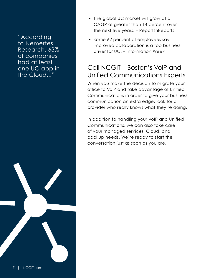"According to Nemertes Research, 63% of companies had at least one UC app in the Cloud..."

- The global UC market will grow at a CAGR of greater than 14 percent over the next five years. – ReportsnReports
- Some 62 percent of employees say improved collaboration is a top business driver for UC. – Information Week

## Call NCGIT – Boston's VoIP and Unified Communications Experts

When you make the decision to migrate your office to VoIP and take advantage of Unified Communications in order to give your business communication an extra edge, look for a provider who really knows what they're doing.

In addition to handling your VoIP and Unified Communications, we can also take care of your managed services, Cloud, and backup needs. We're ready to start the conversation just as soon as you are.